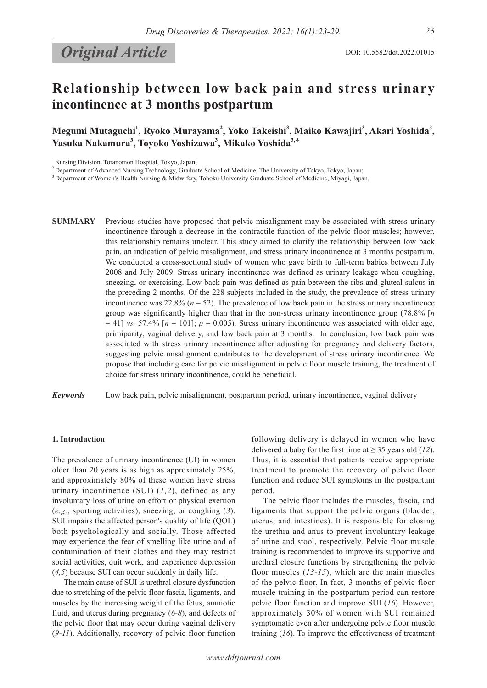# **Original Article** DOI: 10.5582/ddt.2022.01015

Megumi Mutaguchi<sup>1</sup>, Ryoko Murayama<sup>2</sup>, Yoko Takeishi<sup>3</sup>, Maiko Kawajiri<sup>3</sup>, Akari Yoshida<sup>3</sup>, **Yasuka Nakamura<sup>3</sup> , Toyoko Yoshizawa<sup>3</sup> , Mikako Yoshida3,**\*

<sup>1</sup> Nursing Division, Toranomon Hospital, Tokyo, Japan;

2 Department of Advanced Nursing Technology, Graduate School of Medicine, The University of Tokyo, Tokyo, Japan;

<sup>3</sup> Department of Women's Health Nursing & Midwifery, Tohoku University Graduate School of Medicine, Miyagi, Japan.

**SUMMARY** Previous studies have proposed that pelvic misalignment may be associated with stress urinary incontinence through a decrease in the contractile function of the pelvic floor muscles; however, this relationship remains unclear. This study aimed to clarify the relationship between low back pain, an indication of pelvic misalignment, and stress urinary incontinence at 3 months postpartum. We conducted a cross-sectional study of women who gave birth to full-term babies between July 2008 and July 2009. Stress urinary incontinence was defined as urinary leakage when coughing, sneezing, or exercising. Low back pain was defined as pain between the ribs and gluteal sulcus in the preceding 2 months. Of the 228 subjects included in the study, the prevalence of stress urinary incontinence was  $22.8\%$  ( $n = 52$ ). The prevalence of low back pain in the stress urinary incontinence group was significantly higher than that in the non-stress urinary incontinence group (78.8% [*n*  $=$  41] *vs.* 57.4% [ $n = 101$ ];  $p = 0.005$ ). Stress urinary incontinence was associated with older age, primiparity, vaginal delivery, and low back pain at 3 months. In conclusion, low back pain was associated with stress urinary incontinence after adjusting for pregnancy and delivery factors, suggesting pelvic misalignment contributes to the development of stress urinary incontinence. We propose that including care for pelvic misalignment in pelvic floor muscle training, the treatment of choice for stress urinary incontinence, could be beneficial.

*Keywords* Low back pain, pelvic misalignment, postpartum period, urinary incontinence, vaginal delivery

#### **1. Introduction**

The prevalence of urinary incontinence (UI) in women older than 20 years is as high as approximately 25%, and approximately 80% of these women have stress urinary incontinence (SUI) (*1,2*), defined as any involuntary loss of urine on effort or physical exertion (*e.g.*, sporting activities), sneezing, or coughing (*3*). SUI impairs the affected person's quality of life (QOL) both psychologically and socially. Those affected may experience the fear of smelling like urine and of contamination of their clothes and they may restrict social activities, quit work, and experience depression (*4,5*) because SUI can occur suddenly in daily life.

The main cause of SUI is urethral closure dysfunction due to stretching of the pelvic floor fascia, ligaments, and muscles by the increasing weight of the fetus, amniotic fluid, and uterus during pregnancy (*6-8*), and defects of the pelvic floor that may occur during vaginal delivery (*9-11*). Additionally, recovery of pelvic floor function

following delivery is delayed in women who have delivered a baby for the first time at  $\geq$  35 years old (12). Thus, it is essential that patients receive appropriate treatment to promote the recovery of pelvic floor function and reduce SUI symptoms in the postpartum period.

The pelvic floor includes the muscles, fascia, and ligaments that support the pelvic organs (bladder, uterus, and intestines). It is responsible for closing the urethra and anus to prevent involuntary leakage of urine and stool, respectively. Pelvic floor muscle training is recommended to improve its supportive and urethral closure functions by strengthening the pelvic floor muscles (*13-15*), which are the main muscles of the pelvic floor. In fact, 3 months of pelvic floor muscle training in the postpartum period can restore pelvic floor function and improve SUI (*16*). However, approximately 30% of women with SUI remained symptomatic even after undergoing pelvic floor muscle training (*16*). To improve the effectiveness of treatment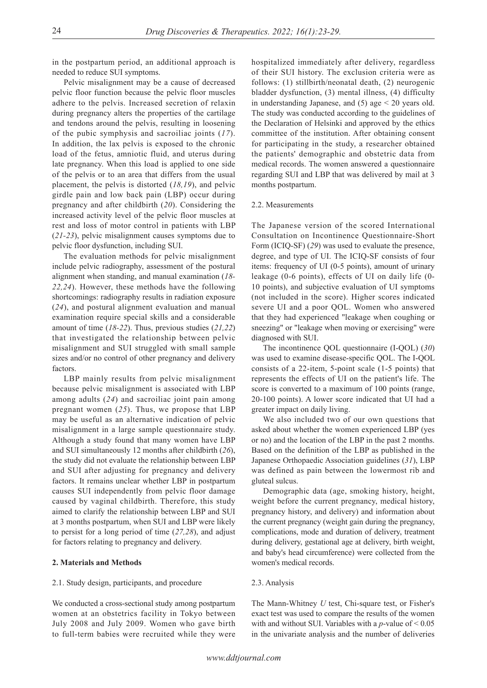in the postpartum period, an additional approach is needed to reduce SUI symptoms.

Pelvic misalignment may be a cause of decreased pelvic floor function because the pelvic floor muscles adhere to the pelvis. Increased secretion of relaxin during pregnancy alters the properties of the cartilage and tendons around the pelvis, resulting in loosening of the pubic symphysis and sacroiliac joints (*17*). In addition, the lax pelvis is exposed to the chronic load of the fetus, amniotic fluid, and uterus during late pregnancy. When this load is applied to one side of the pelvis or to an area that differs from the usual placement, the pelvis is distorted (*18,19*), and pelvic girdle pain and low back pain (LBP) occur during pregnancy and after childbirth (*20*). Considering the increased activity level of the pelvic floor muscles at rest and loss of motor control in patients with LBP (*21-23*), pelvic misalignment causes symptoms due to pelvic floor dysfunction, including SUI.

The evaluation methods for pelvic misalignment include pelvic radiography, assessment of the postural alignment when standing, and manual examination (*18- 22,24*). However, these methods have the following shortcomings: radiography results in radiation exposure (*24*), and postural alignment evaluation and manual examination require special skills and a considerable amount of time (*18-22*). Thus, previous studies (*21,22*) that investigated the relationship between pelvic misalignment and SUI struggled with small sample sizes and/or no control of other pregnancy and delivery factors.

LBP mainly results from pelvic misalignment because pelvic misalignment is associated with LBP among adults (*24*) and sacroiliac joint pain among pregnant women (*25*). Thus, we propose that LBP may be useful as an alternative indication of pelvic misalignment in a large sample questionnaire study. Although a study found that many women have LBP and SUI simultaneously 12 months after childbirth (*26*), the study did not evaluate the relationship between LBP and SUI after adjusting for pregnancy and delivery factors. It remains unclear whether LBP in postpartum causes SUI independently from pelvic floor damage caused by vaginal childbirth. Therefore, this study aimed to clarify the relationship between LBP and SUI at 3 months postpartum, when SUI and LBP were likely to persist for a long period of time (*27,28*), and adjust for factors relating to pregnancy and delivery.

#### **2. Materials and Methods**

#### 2.1. Study design, participants, and procedure

We conducted a cross-sectional study among postpartum women at an obstetrics facility in Tokyo between July 2008 and July 2009. Women who gave birth to full-term babies were recruited while they were hospitalized immediately after delivery, regardless of their SUI history. The exclusion criteria were as follows: (1) stillbirth/neonatal death, (2) neurogenic bladder dysfunction, (3) mental illness, (4) difficulty in understanding Japanese, and (5) age < 20 years old. The study was conducted according to the guidelines of the Declaration of Helsinki and approved by the ethics committee of the institution. After obtaining consent for participating in the study, a researcher obtained the patients' demographic and obstetric data from medical records. The women answered a questionnaire regarding SUI and LBP that was delivered by mail at 3 months postpartum.

#### 2.2. Measurements

The Japanese version of the scored International Consultation on Incontinence Questionnaire-Short Form (ICIQ-SF) (*29*) was used to evaluate the presence, degree, and type of UI. The ICIQ-SF consists of four items: frequency of UI (0-5 points), amount of urinary leakage (0-6 points), effects of UI on daily life (0- 10 points), and subjective evaluation of UI symptoms (not included in the score). Higher scores indicated severe UI and a poor QOL. Women who answered that they had experienced "leakage when coughing or sneezing" or "leakage when moving or exercising" were diagnosed with SUI.

The incontinence QOL questionnaire (I-QOL) (*30*) was used to examine disease-specific QOL. The I-QOL consists of a 22-item, 5-point scale (1-5 points) that represents the effects of UI on the patient's life. The score is converted to a maximum of 100 points (range, 20-100 points). A lower score indicated that UI had a greater impact on daily living.

We also included two of our own questions that asked about whether the women experienced LBP (yes or no) and the location of the LBP in the past 2 months. Based on the definition of the LBP as published in the Japanese Orthopaedic Association guidelines (*31*), LBP was defined as pain between the lowermost rib and gluteal sulcus.

Demographic data (age, smoking history, height, weight before the current pregnancy, medical history, pregnancy history, and delivery) and information about the current pregnancy (weight gain during the pregnancy, complications, mode and duration of delivery, treatment during delivery, gestational age at delivery, birth weight, and baby's head circumference) were collected from the women's medical records.

# 2.3. Analysis

The Mann-Whitney *U* test, Chi-square test, or Fisher's exact test was used to compare the results of the women with and without SUI. Variables with a *p*-value of < 0.05 in the univariate analysis and the number of deliveries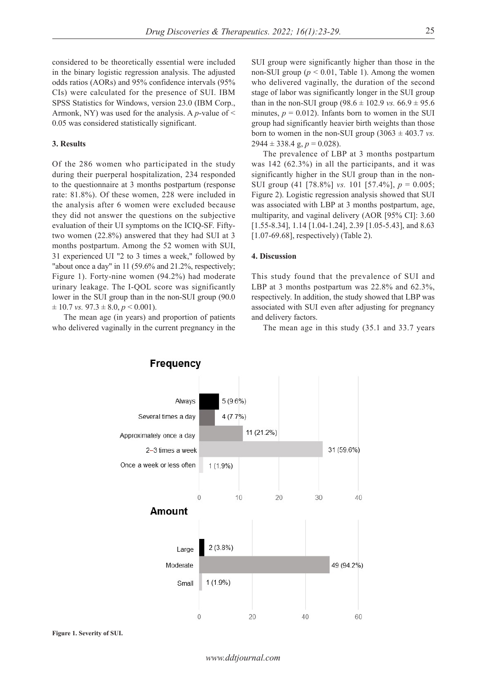considered to be theoretically essential were included in the binary logistic regression analysis. The adjusted odds ratios (AORs) and 95% confidence intervals (95% CIs) were calculated for the presence of SUI. IBM SPSS Statistics for Windows, version 23.0 (IBM Corp., Armonk, NY) was used for the analysis. A *p*-value of < 0.05 was considered statistically significant.

# **3. Results**

Of the 286 women who participated in the study during their puerperal hospitalization, 234 responded to the questionnaire at 3 months postpartum (response rate: 81.8%). Of these women, 228 were included in the analysis after 6 women were excluded because they did not answer the questions on the subjective evaluation of their UI symptoms on the ICIQ-SF. Fiftytwo women (22.8%) answered that they had SUI at 3 months postpartum. Among the 52 women with SUI, 31 experienced UI "2 to 3 times a week," followed by "about once a day" in 11 (59.6% and 21.2%, respectively; Figure 1). Forty-nine women (94.2%) had moderate urinary leakage. The I-QOL score was significantly lower in the SUI group than in the non-SUI group (90.0  $\pm$  10.7 *vs.* 97.3  $\pm$  8.0, *p* < 0.001).

The mean age (in years) and proportion of patients who delivered vaginally in the current pregnancy in the SUI group were significantly higher than those in the non-SUI group ( $p < 0.01$ , Table 1). Among the women who delivered vaginally, the duration of the second stage of labor was significantly longer in the SUI group than in the non-SUI group  $(98.6 \pm 102.9 \text{ vs. } 66.9 \pm 95.6 \text{ s})$ minutes,  $p = 0.012$ ). Infants born to women in the SUI group had significantly heavier birth weights than those born to women in the non-SUI group  $(3063 \pm 403.7 \text{ vs.})$  $2944 \pm 338.4$  g,  $p = 0.028$ ).

The prevalence of LBP at 3 months postpartum was 142 (62.3%) in all the participants, and it was significantly higher in the SUI group than in the non-SUI group (41 [78.8%] *vs.* 101 [57.4%], *p* = 0.005; Figure 2). Logistic regression analysis showed that SUI was associated with LBP at 3 months postpartum, age, multiparity, and vaginal delivery (AOR [95% CI]: 3.60 [1.55-8.34], 1.14 [1.04-1.24], 2.39 [1.05-5.43], and 8.63 [1.07-69.68], respectively) (Table 2).

# **4. Discussion**

This study found that the prevalence of SUI and LBP at 3 months postpartum was 22.8% and 62.3%, respectively. In addition, the study showed that LBP was associated with SUI even after adjusting for pregnancy and delivery factors.

The mean age in this study (35.1 and 33.7 years

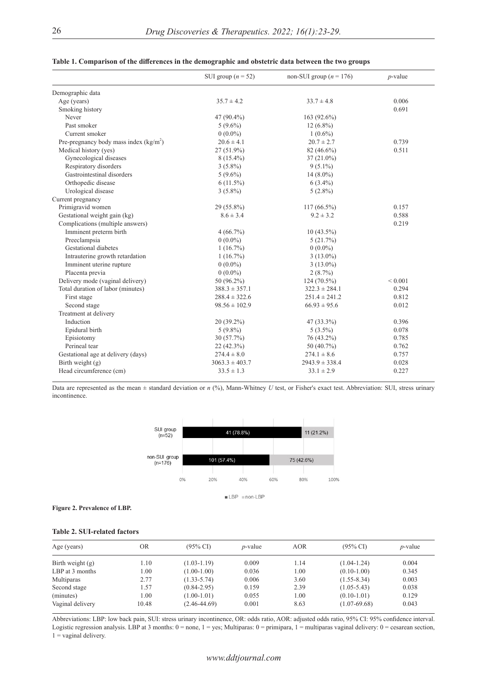|                                         | SUI group ( $n = 52$ )           | non-SUI group ( $n = 176$ ) | $p$ -value  |
|-----------------------------------------|----------------------------------|-----------------------------|-------------|
| Demographic data                        |                                  |                             |             |
| Age (years)                             | $35.7 \pm 4.2$                   | $33.7 \pm 4.8$              | 0.006       |
| Smoking history                         |                                  |                             | 0.691       |
| Never                                   | 47 (90.4%)                       | $163(92.6\%)$               |             |
| Past smoker                             | $5(9.6\%)$                       | $12(6.8\%)$                 |             |
| Current smoker                          | $0(0.0\%)$                       | $1(0.6\%)$                  |             |
| Pre-pregnancy body mass index $(kg/m2)$ | $20.6 \pm 4.1$<br>$20.7 \pm 2.7$ |                             | 0.739       |
| Medical history (yes)                   | 27 (51.9%)                       | 82 (46.6%)                  | 0.511       |
| Gynecological diseases                  | $8(15.4\%)$                      | $37(21.0\%)$                |             |
| Respiratory disorders                   | $3(5.8\%)$                       | $9(5.1\%)$                  |             |
| Gastrointestinal disorders              | $5(9.6\%)$                       | $14(8.0\%)$                 |             |
| Orthopedic disease                      | $6(11.5\%)$                      | $6(3.4\%)$                  |             |
| Urological disease                      | $3(5.8\%)$                       | $5(2.8\%)$                  |             |
| Current pregnancy                       |                                  |                             |             |
| Primigravid women                       | 29 (55.8%)                       | $117(66.5\%)$               | 0.157       |
| Gestational weight gain (kg)            | $8.6 \pm 3.4$                    | $9.2 \pm 3.2$               | 0.588       |
| Complications (multiple answers)        |                                  |                             | 0.219       |
| Imminent preterm birth                  | $4(66.7\%)$                      | $10(43.5\%)$                |             |
| Preeclampsia                            | $0(0.0\%)$                       | 5(21.7%)                    |             |
| Gestational diabetes                    | $1(16.7\%)$                      | $0(0.0\%)$                  |             |
| Intrauterine growth retardation         | $1(16.7\%)$                      | $3(13.0\%)$                 |             |
| Imminent uterine rupture                | $0(0.0\%)$                       | $3(13.0\%)$                 |             |
| Placenta previa                         | $0(0.0\%)$                       | 2(8.7%)                     |             |
| Delivery mode (vaginal delivery)        | 50 (96.2%)                       | $124(70.5\%)$               | ${}< 0.001$ |
| Total duration of labor (minutes)       | $388.3 \pm 357.1$                | $322.3 \pm 284.1$           | 0.294       |
| First stage                             | $288.4 \pm 322.6$                | $251.4 \pm 241.2$           | 0.812       |
| Second stage                            | $98.56 \pm 102.9$                | $66.93 \pm 95.6$            | 0.012       |
| Treatment at delivery                   |                                  |                             |             |
| Induction                               | 20 (39.2%)                       | 47 (33.3%)                  | 0.396       |
| Epidural birth                          | $5(9.8\%)$                       | $5(3.5\%)$                  | 0.078       |
| Episiotomy                              | 30 (57.7%)                       | 76 (43.2%)                  | 0.785       |
| Perineal tear                           | 22 (42.3%)                       | 50 (40.7%)                  | 0.762       |
| Gestational age at delivery (days)      | $274.4 \pm 8.0$                  | $274.1 \pm 8.6$             | 0.757       |
| Birth weight $(g)$                      | $3063.3 \pm 403.7$               | $2943.9 \pm 338.4$          | 0.028       |
| Head circumference (cm)                 | $33.5 \pm 1.3$                   | $33.1 \pm 2.9$              | 0.227       |

### **Table 1. Comparison of the differences in the demographic and obstetric data between the two groups**

Data are represented as the mean ± standard deviation or *n* (%), Mann-Whitney *U* test, or Fisher's exact test. Abbreviation: SUI, stress urinary incontinence.



### **Figure 2. Prevalence of LBP.**

### **Table 2. SUI-related factors**

| Age (years)        | <b>OR</b> | $(95\% \text{ CI})$ | <i>p</i> -value | <b>AOR</b> | $(95\% \text{ C}I)$ | <i>p</i> -value |
|--------------------|-----------|---------------------|-----------------|------------|---------------------|-----------------|
| Birth weight $(g)$ | 1.10      | $(1.03 - 1.19)$     | 0.009           | 1.14       | $(1.04-1.24)$       | 0.004           |
| LBP at 3 months    | 1.00      | $(1.00-1.00)$       | 0.036           | 1.00       | $(0.10-1.00)$       | 0.345           |
| Multiparas         | 2.77      | $(1.33 - 5.74)$     | 0.006           | 3.60       | $(1.55 - 8.34)$     | 0.003           |
| Second stage       | 1.57      | $(0.84 - 2.95)$     | 0.159           | 2.39       | $(1.05 - 5.43)$     | 0.038           |
| (minutes)          | 1.00      | $(1.00-1.01)$       | 0.055           | 1.00       | $(0.10-1.01)$       | 0.129           |
| Vaginal delivery   | 10.48     | $(2.46 - 44.69)$    | 0.001           | 8.63       | $(1.07-69.68)$      | 0.043           |

Abbreviations: LBP: low back pain, SUI: stress urinary incontinence, OR: odds ratio, AOR: adjusted odds ratio, 95% CI: 95% confidence interval. Logistic regression analysis. LBP at 3 months: 0 = none, 1 = yes; Multiparas: 0 = primipara, 1 = multiparas vaginal delivery: 0 = cesarean section,  $1$  = vaginal delivery.

# *www.ddtjournal.com*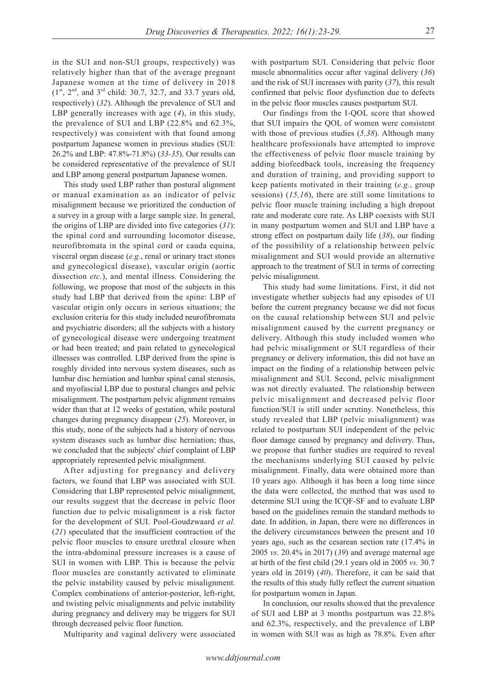in the SUI and non-SUI groups, respectively) was relatively higher than that of the average pregnant Japanese women at the time of delivery in 2018  $(1^{st}, 2^{nd},$  and  $3^{rd}$  child: 30.7, 32.7, and 33.7 years old, respectively) (*32*). Although the prevalence of SUI and LBP generally increases with age (*4*), in this study, the prevalence of SUI and LBP (22.8% and 62.3%, respectively) was consistent with that found among postpartum Japanese women in previous studies (SUI: 26.2% and LBP: 47.8%-71.8%) (*33-35*). Our results can be considered representative of the prevalence of SUI and LBP among general postpartum Japanese women.

This study used LBP rather than postural alignment or manual examination as an indicator of pelvic misalignment because we prioritized the conduction of a survey in a group with a large sample size. In general, the origins of LBP are divided into five categories (*31*): the spinal cord and surrounding locomotor disease, neurofibromata in the spinal cord or cauda equina, visceral organ disease (*e.g.*, renal or urinary tract stones and gynecological disease), vascular origin (aortic dissection *etc.*), and mental illness. Considering the following, we propose that most of the subjects in this study had LBP that derived from the spine: LBP of vascular origin only occurs in serious situations; the exclusion criteria for this study included neurofibromata and psychiatric disorders; all the subjects with a history of gynecological disease were undergoing treatment or had been treated; and pain related to gynecological illnesses was controlled. LBP derived from the spine is roughly divided into nervous system diseases, such as lumbar disc herniation and lumbar spinal canal stenosis, and myofascial LBP due to postural changes and pelvic misalignment. The postpartum pelvic alignment remains wider than that at 12 weeks of gestation, while postural changes during pregnancy disappear (*25*). Moreover, in this study, none of the subjects had a history of nervous system diseases such as lumbar disc herniation; thus, we concluded that the subjects' chief complaint of LBP appropriately represented pelvic misalignment.

After adjusting for pregnancy and delivery factors, we found that LBP was associated with SUI. Considering that LBP represented pelvic misalignment, our results suggest that the decrease in pelvic floor function due to pelvic misalignment is a risk factor for the development of SUI. Pool-Goudzwaard *et al.* (*21*) speculated that the insufficient contraction of the pelvic floor muscles to ensure urethral closure when the intra-abdominal pressure increases is a cause of SUI in women with LBP. This is because the pelvic floor muscles are constantly activated to eliminate the pelvic instability caused by pelvic misalignment. Complex combinations of anterior-posterior, left-right, and twisting pelvic misalignments and pelvic instability during pregnancy and delivery may be triggers for SUI through decreased pelvic floor function.

Multiparity and vaginal delivery were associated

with postpartum SUI. Considering that pelvic floor muscle abnormalities occur after vaginal delivery (*36*) and the risk of SUI increases with parity (*37*), this result confirmed that pelvic floor dysfunction due to defects in the pelvic floor muscles causes postpartum SUI.

Our findings from the I-QOL score that showed that SUI impairs the QOL of women were consistent with those of previous studies (*5,38*). Although many healthcare professionals have attempted to improve the effectiveness of pelvic floor muscle training by adding biofeedback tools, increasing the frequency and duration of training, and providing support to keep patients motivated in their training (*e.g.*, group sessions) (*15,16*), there are still some limitations to pelvic floor muscle training including a high dropout rate and moderate cure rate. As LBP coexists with SUI in many postpartum women and SUI and LBP have a strong effect on postpartum daily life (*38*), our finding of the possibility of a relationship between pelvic misalignment and SUI would provide an alternative approach to the treatment of SUI in terms of correcting pelvic misalignment.

This study had some limitations. First, it did not investigate whether subjects had any episodes of UI before the current pregnancy because we did not focus on the causal relationship between SUI and pelvic misalignment caused by the current pregnancy or delivery. Although this study included women who had pelvic misalignment or SUI regardless of their pregnancy or delivery information, this did not have an impact on the finding of a relationship between pelvic misalignment and SUI. Second, pelvic misalignment was not directly evaluated. The relationship between pelvic misalignment and decreased pelvic floor function/SUI is still under scrutiny. Nonetheless, this study revealed that LBP (pelvic misalignment) was related to postpartum SUI independent of the pelvic floor damage caused by pregnancy and delivery. Thus, we propose that further studies are required to reveal the mechanisms underlying SUI caused by pelvic misalignment. Finally, data were obtained more than 10 years ago. Although it has been a long time since the data were collected, the method that was used to determine SUI using the ICQF-SF and to evaluate LBP based on the guidelines remain the standard methods to date. In addition, in Japan, there were no differences in the delivery circumstances between the present and 10 years ago, such as the cesarean section rate (17.4% in 2005 *vs.* 20.4% in 2017) (*39*) and average maternal age at birth of the first child (29.1 years old in 2005 *vs.* 30.7 years old in 2019) (*40*). Therefore, it can be said that the results of this study fully reflect the current situation for postpartum women in Japan.

In conclusion, our results showed that the prevalence of SUI and LBP at 3 months postpartum was 22.8% and 62.3%, respectively, and the prevalence of LBP in women with SUI was as high as 78.8%. Even after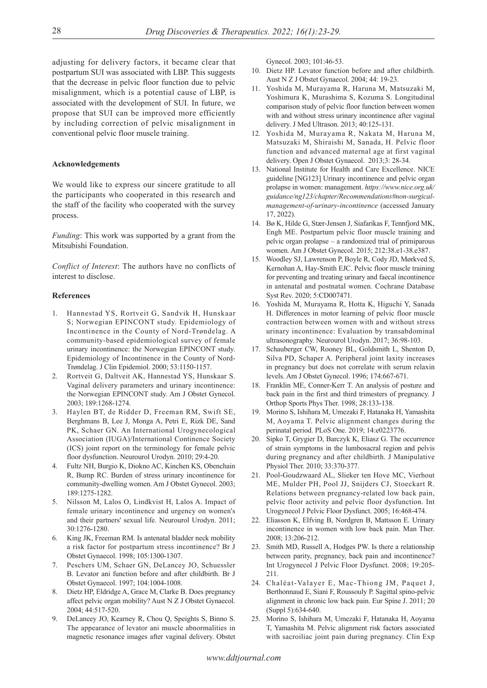adjusting for delivery factors, it became clear that postpartum SUI was associated with LBP. This suggests that the decrease in pelvic floor function due to pelvic misalignment, which is a potential cause of LBP, is associated with the development of SUI. In future, we propose that SUI can be improved more efficiently by including correction of pelvic misalignment in conventional pelvic floor muscle training.

# **Acknowledgements**

We would like to express our sincere gratitude to all the participants who cooperated in this research and the staff of the facility who cooperated with the survey process.

*Funding*: This work was supported by a grant from the Mitsubishi Foundation.

*Conflict of Interest*: The authors have no conflicts of interest to disclose.

#### **References**

- 1. Hannestad YS, Rortveit G, Sandvik H, Hunskaar S; Norwegian EPINCONT study. Epidemiology of Incontinence in the County of Nord-Trøndelag. A community-based epidemiological survey of female urinary incontinence: the Norwegian EPINCONT study. Epidemiology of Incontinence in the County of Nord-Trøndelag. J Clin Epidemiol. 2000; 53:1150-1157.
- 2. Rortveit G, Daltveit AK, Hannestad YS, Hunskaar S. Vaginal delivery parameters and urinary incontinence: the Norwegian EPINCONT study. Am J Obstet Gynecol. 2003; 189:1268-1274.
- 3. Haylen BT, de Ridder D, Freeman RM, Swift SE, Berghmans B, Lee J, Monga A, Petri E, Rizk DE, Sand PK, Schaer GN. An International Urogynecological Association (IUGA)/International Continence Society (ICS) joint report on the terminology for female pelvic floor dysfunction. Neurourol Urodyn. 2010; 29:4-20.
- 4. Fultz NH, Burgio K, Diokno AC, Kinchen KS, Obenchain R, Bump RC. Burden of stress urinary incontinence for community-dwelling women. Am J Obstet Gynecol. 2003; 189:1275-1282.
- 5. Nilsson M, Lalos O, Lindkvist H, Lalos A. Impact of female urinary incontinence and urgency on women's and their partners' sexual life. Neurourol Urodyn. 2011; 30:1276-1280.
- 6. King JK, Freeman RM. Is antenatal bladder neck mobility a risk factor for postpartum stress incontinence? Br J Obstet Gynaecol. 1998; 105:1300-1307.
- 7. Peschers UM, Schaer GN, DeLancey JO, Schuessler B. Levator ani function before and after childbirth. Br J Obstet Gynaecol. 1997; 104:1004-1008.
- 8. Dietz HP, Eldridge A, Grace M, Clarke B. Does pregnancy affect pelvic organ mobility? Aust N Z J Obstet Gynaecol. 2004; 44:517-520.
- DeLancey JO, Kearney R, Chou Q, Speights S, Binno S. The appearance of levator ani muscle abnormalities in magnetic resonance images after vaginal delivery. Obstet

Gynecol. 2003; 101:46-53.

- 10. Dietz HP. Levator function before and after childbirth. Aust N Z J Obstet Gynaecol. 2004; 44: 19-23.
- 11. Yoshida M, Murayama R, Haruna M, Matsuzaki M, Yoshimura K, Murashima S, Kozuma S. Longitudinal comparison study of pelvic floor function between women with and without stress urinary incontinence after vaginal delivery. J Med Ultrason. 2013; 40:125-131.
- 12. Yoshida M, Murayama R, Nakata M, Haruna M, Matsuzaki M, Shiraishi M, Sanada, H. Pelvic floor function and advanced maternal age at first vaginal delivery. Open J Obstet Gynaecol. 2013;3: 28-34.
- 13. National Institute for Health and Care Excellence. NICE guideline [NG123] Urinary incontinence and pelvic organ prolapse in women: management. *https://www.nice.org.uk/ guidance/ng123/chapter/Recommendations#non-surgicalmanagement-of-urinary-incontinence* (accessed January 17, 2022).
- 14. Bø K, Hilde G, Stær-Jensen J, Siafarikas F, Tennfjord MK, Engh ME. Postpartum pelvic floor muscle training and pelvic organ prolapse ‒ a randomized trial of primiparous women. Am J Obstet Gynecol. 2015; 212:38.e1-38.e387.
- 15. Woodley SJ, Lawrenson P, Boyle R, Cody JD, Mørkved S, Kernohan A, Hay-Smith EJC. Pelvic floor muscle training for preventing and treating urinary and faecal incontinence in antenatal and postnatal women. Cochrane Database Syst Rev. 2020; 5:CD007471.
- 16. Yoshida M, Murayama R, Hotta K, Higuchi Y, Sanada H. Differences in motor learning of pelvic floor muscle contraction between women with and without stress urinary incontinence: Evaluation by transabdominal ultrasonography. Neurourol Urodyn. 2017; 36:98-103.
- 17. Schauberger CW, Rooney BL, Goldsmith L, Shenton D, Silva PD, Schaper A. Peripheral joint laxity increases in pregnancy but does not correlate with serum relaxin levels. Am J Obstet Gynecol. 1996; 174:667-671.
- 18. Franklin ME, Conner-Kerr T. An analysis of posture and back pain in the first and third trimesters of pregnancy. J Orthop Sports Phys Ther. 1998; 28:133-138.
- 19. Morino S, Ishihara M, Umezaki F, Hatanaka H, Yamashita M, Aoyama T. Pelvic alignment changes during the perinatal period. PLoS One. 2019; 14:e0223776.
- 20. Sipko T, Grygier D, Barczyk K, Eliasz G. The occurrence of strain symptoms in the lumbosacral region and pelvis during pregnancy and after childbirth. J Manipulative Physiol Ther. 2010; 33:370-377.
- 21. Pool-Goudzwaard AL, Slieker ten Hove MC, Vierhout ME, Mulder PH, Pool JJ, Snijders CJ, Stoeckart R. Relations between pregnancy-related low back pain, pelvic floor activity and pelvic floor dysfunction. Int Urogynecol J Pelvic Floor Dysfunct. 2005; 16:468-474.
- 22. Eliasson K, Elfving B, Nordgren B, Mattsson E. Urinary incontinence in women with low back pain. Man Ther. 2008; 13:206-212.
- 23. Smith MD, Russell A, Hodges PW. Is there a relationship between parity, pregnancy, back pain and incontinence? Int Urogynecol J Pelvic Floor Dysfunct. 2008; 19:205- 211.
- 24. Chaléat-Valayer E, Mac-Thiong JM, Paquet J, Berthonnaud E, Siani F, Roussouly P. Sagittal spino-pelvic alignment in chronic low back pain. Eur Spine J. 2011; 20 (Suppl 5):634-640.
- 25. Morino S, Ishihara M, Umezaki F, Hatanaka H, Aoyama T, Yamashita M. Pelvic alignment risk factors associated with sacroiliac joint pain during pregnancy. Clin Exp